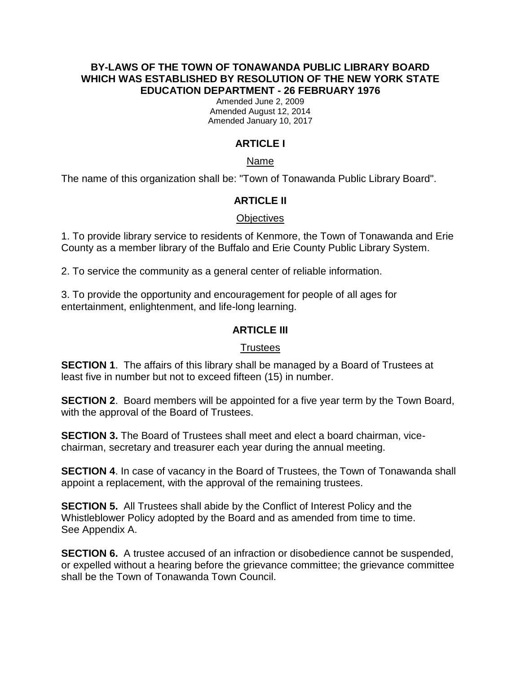#### **BY-LAWS OF THE TOWN OF TONAWANDA PUBLIC LIBRARY BOARD WHICH WAS ESTABLISHED BY RESOLUTION OF THE NEW YORK STATE EDUCATION DEPARTMENT - 26 FEBRUARY 1976**

Amended June 2, 2009 Amended August 12, 2014 Amended January 10, 2017

# **ARTICLE I**

### Name

The name of this organization shall be: "Town of Tonawanda Public Library Board".

## **ARTICLE II**

## **Objectives**

1. To provide library service to residents of Kenmore, the Town of Tonawanda and Erie County as a member library of the Buffalo and Erie County Public Library System.

2. To service the community as a general center of reliable information.

3. To provide the opportunity and encouragement for people of all ages for entertainment, enlightenment, and life-long learning.

## **ARTICLE III**

### **Trustees**

**SECTION 1.** The affairs of this library shall be managed by a Board of Trustees at least five in number but not to exceed fifteen (15) in number.

**SECTION 2**. Board members will be appointed for a five year term by the Town Board, with the approval of the Board of Trustees.

**SECTION 3.** The Board of Trustees shall meet and elect a board chairman, vicechairman, secretary and treasurer each year during the annual meeting.

**SECTION 4**. In case of vacancy in the Board of Trustees, the Town of Tonawanda shall appoint a replacement, with the approval of the remaining trustees.

**SECTION 5.** All Trustees shall abide by the Conflict of Interest Policy and the Whistleblower Policy adopted by the Board and as amended from time to time. See Appendix A.

**SECTION 6.** A trustee accused of an infraction or disobedience cannot be suspended, or expelled without a hearing before the grievance committee; the grievance committee shall be the Town of Tonawanda Town Council.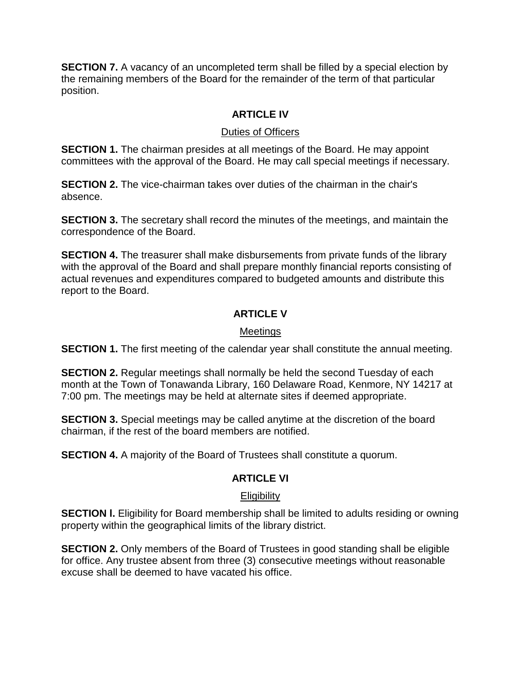**SECTION 7.** A vacancy of an uncompleted term shall be filled by a special election by the remaining members of the Board for the remainder of the term of that particular position.

## **ARTICLE IV**

## Duties of Officers

**SECTION 1.** The chairman presides at all meetings of the Board. He may appoint committees with the approval of the Board. He may call special meetings if necessary.

**SECTION 2.** The vice-chairman takes over duties of the chairman in the chair's absence.

**SECTION 3.** The secretary shall record the minutes of the meetings, and maintain the correspondence of the Board.

**SECTION 4.** The treasurer shall make disbursements from private funds of the library with the approval of the Board and shall prepare monthly financial reports consisting of actual revenues and expenditures compared to budgeted amounts and distribute this report to the Board.

## **ARTICLE V**

## Meetings

**SECTION 1.** The first meeting of the calendar year shall constitute the annual meeting.

**SECTION 2.** Regular meetings shall normally be held the second Tuesday of each month at the Town of Tonawanda Library, 160 Delaware Road, Kenmore, NY 14217 at 7:00 pm. The meetings may be held at alternate sites if deemed appropriate.

**SECTION 3.** Special meetings may be called anytime at the discretion of the board chairman, if the rest of the board members are notified.

**SECTION 4.** A majority of the Board of Trustees shall constitute a quorum.

## **ARTICLE VI**

## **Eligibility**

**SECTION I.** Eligibility for Board membership shall be limited to adults residing or owning property within the geographical limits of the library district.

**SECTION 2.** Only members of the Board of Trustees in good standing shall be eligible for office. Any trustee absent from three (3) consecutive meetings without reasonable excuse shall be deemed to have vacated his office.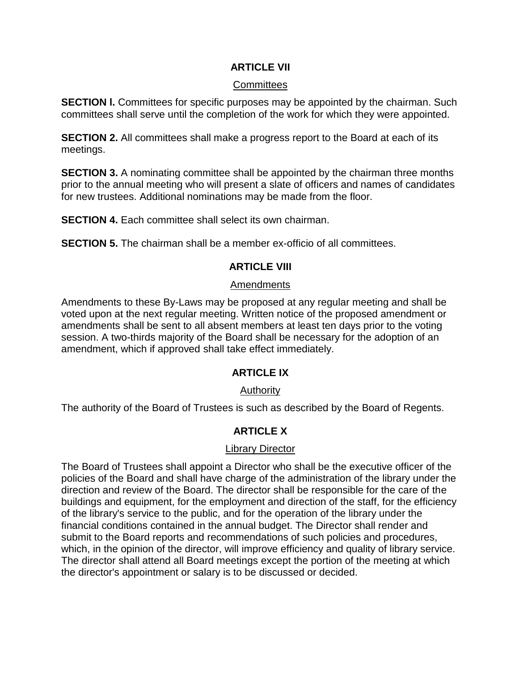### **ARTICLE VII**

#### **Committees**

**SECTION I.** Committees for specific purposes may be appointed by the chairman. Such committees shall serve until the completion of the work for which they were appointed.

**SECTION 2.** All committees shall make a progress report to the Board at each of its meetings.

**SECTION 3.** A nominating committee shall be appointed by the chairman three months prior to the annual meeting who will present a slate of officers and names of candidates for new trustees. Additional nominations may be made from the floor.

**SECTION 4.** Each committee shall select its own chairman.

**SECTION 5.** The chairman shall be a member ex-officio of all committees.

## **ARTICLE VIII**

#### Amendments

Amendments to these By-Laws may be proposed at any regular meeting and shall be voted upon at the next regular meeting. Written notice of the proposed amendment or amendments shall be sent to all absent members at least ten days prior to the voting session. A two-thirds majority of the Board shall be necessary for the adoption of an amendment, which if approved shall take effect immediately.

### **ARTICLE IX**

### Authority

The authority of the Board of Trustees is such as described by the Board of Regents.

### **ARTICLE X**

#### Library Director

The Board of Trustees shall appoint a Director who shall be the executive officer of the policies of the Board and shall have charge of the administration of the library under the direction and review of the Board. The director shall be responsible for the care of the buildings and equipment, for the employment and direction of the staff, for the efficiency of the library's service to the public, and for the operation of the library under the financial conditions contained in the annual budget. The Director shall render and submit to the Board reports and recommendations of such policies and procedures, which, in the opinion of the director, will improve efficiency and quality of library service. The director shall attend all Board meetings except the portion of the meeting at which the director's appointment or salary is to be discussed or decided.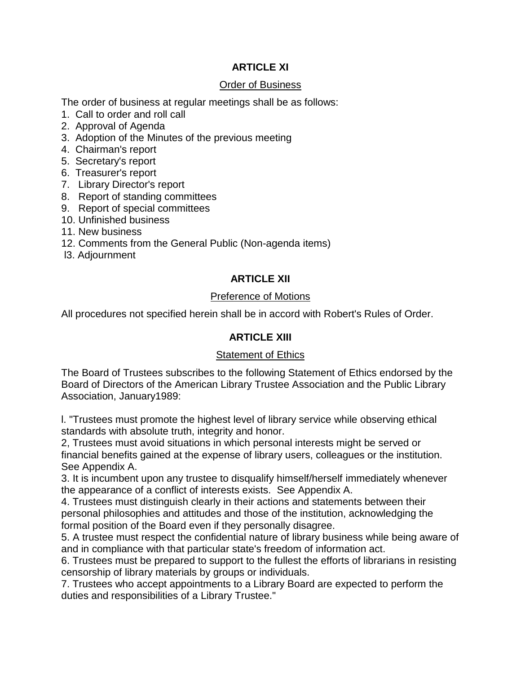## **ARTICLE XI**

#### Order of Business

The order of business at regular meetings shall be as follows:

- 1. Call to order and roll call
- 2. Approval of Agenda
- 3. Adoption of the Minutes of the previous meeting
- 4. Chairman's report
- 5. Secretary's report
- 6. Treasurer's report
- 7. Library Director's report
- 8. Report of standing committees
- 9. Report of special committees
- 10. Unfinished business
- 11. New business
- 12. Comments from the General Public (Non-agenda items)
- l3. Adjournment

## **ARTICLE XII**

### Preference of Motions

All procedures not specified herein shall be in accord with Robert's Rules of Order.

## **ARTICLE XIII**

### **Statement of Ethics**

The Board of Trustees subscribes to the following Statement of Ethics endorsed by the Board of Directors of the American Library Trustee Association and the Public Library Association, January1989:

l. "Trustees must promote the highest level of library service while observing ethical standards with absolute truth, integrity and honor.

2, Trustees must avoid situations in which personal interests might be served or financial benefits gained at the expense of library users, colleagues or the institution. See Appendix A.

3. It is incumbent upon any trustee to disqualify himself/herself immediately whenever the appearance of a conflict of interests exists. See Appendix A.

4. Trustees must distinguish clearly in their actions and statements between their personal philosophies and attitudes and those of the institution, acknowledging the formal position of the Board even if they personally disagree.

5. A trustee must respect the confidential nature of library business while being aware of and in compliance with that particular state's freedom of information act.

6. Trustees must be prepared to support to the fullest the efforts of librarians in resisting censorship of library materials by groups or individuals.

7. Trustees who accept appointments to a Library Board are expected to perform the duties and responsibilities of a Library Trustee."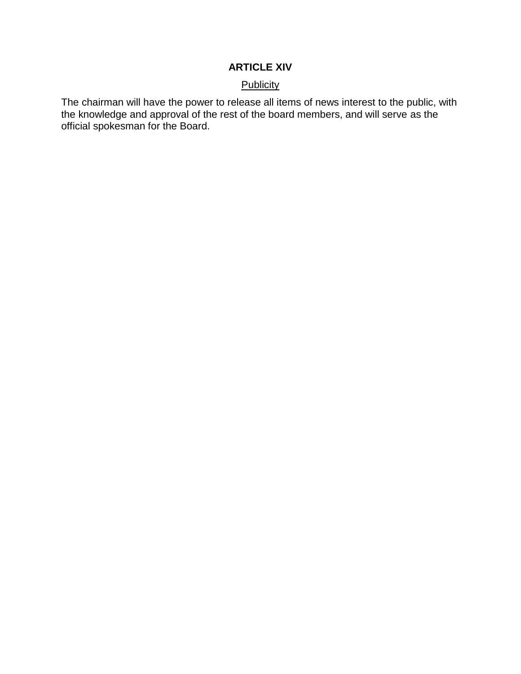## **ARTICLE XIV**

#### **Publicity**

The chairman will have the power to release all items of news interest to the public, with the knowledge and approval of the rest of the board members, and will serve as the official spokesman for the Board.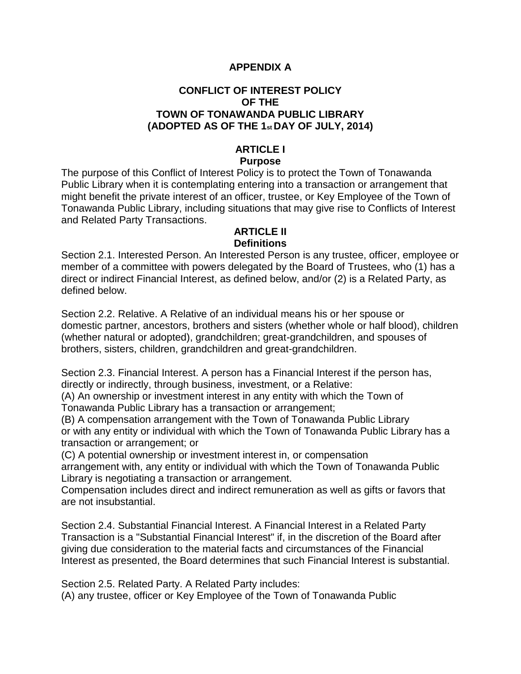### **APPENDIX A**

## **CONFLICT OF INTEREST POLICY OF THE TOWN OF TONAWANDA PUBLIC LIBRARY (ADOPTED AS OF THE 1st DAY OF JULY, 2014)**

#### **ARTICLE I Purpose**

The purpose of this Conflict of Interest Policy is to protect the Town of Tonawanda Public Library when it is contemplating entering into a transaction or arrangement that might benefit the private interest of an officer, trustee, or Key Employee of the Town of Tonawanda Public Library, including situations that may give rise to Conflicts of Interest and Related Party Transactions.

### **ARTICLE II Definitions**

Section 2.1. Interested Person. An Interested Person is any trustee, officer, employee or member of a committee with powers delegated by the Board of Trustees, who (1) has a direct or indirect Financial Interest, as defined below, and/or (2) is a Related Party, as defined below.

Section 2.2. Relative. A Relative of an individual means his or her spouse or domestic partner, ancestors, brothers and sisters (whether whole or half blood), children (whether natural or adopted), grandchildren; great-grandchildren, and spouses of brothers, sisters, children, grandchildren and great-grandchildren.

Section 2.3. Financial Interest. A person has a Financial Interest if the person has, directly or indirectly, through business, investment, or a Relative:

(A) An ownership or investment interest in any entity with which the Town of Tonawanda Public Library has a transaction or arrangement;

(B) A compensation arrangement with the Town of Tonawanda Public Library or with any entity or individual with which the Town of Tonawanda Public Library has a transaction or arrangement; or

(C) A potential ownership or investment interest in, or compensation

arrangement with, any entity or individual with which the Town of Tonawanda Public Library is negotiating a transaction or arrangement.

Compensation includes direct and indirect remuneration as well as gifts or favors that are not insubstantial.

Section 2.4. Substantial Financial Interest. A Financial Interest in a Related Party Transaction is a "Substantial Financial Interest" if, in the discretion of the Board after giving due consideration to the material facts and circumstances of the Financial Interest as presented, the Board determines that such Financial Interest is substantial.

Section 2.5. Related Party. A Related Party includes:

(A) any trustee, officer or Key Employee of the Town of Tonawanda Public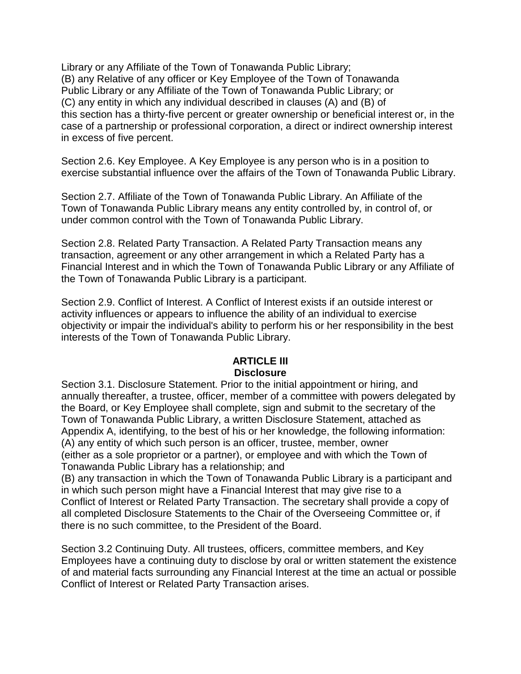Library or any Affiliate of the Town of Tonawanda Public Library; (B) any Relative of any officer or Key Employee of the Town of Tonawanda Public Library or any Affiliate of the Town of Tonawanda Public Library; or (C) any entity in which any individual described in clauses (A) and (B) of this section has a thirty-five percent or greater ownership or beneficial interest or, in the case of a partnership or professional corporation, a direct or indirect ownership interest in excess of five percent.

Section 2.6. Key Employee. A Key Employee is any person who is in a position to exercise substantial influence over the affairs of the Town of Tonawanda Public Library.

Section 2.7. Affiliate of the Town of Tonawanda Public Library. An Affiliate of the Town of Tonawanda Public Library means any entity controlled by, in control of, or under common control with the Town of Tonawanda Public Library.

Section 2.8. Related Party Transaction. A Related Party Transaction means any transaction, agreement or any other arrangement in which a Related Party has a Financial Interest and in which the Town of Tonawanda Public Library or any Affiliate of the Town of Tonawanda Public Library is a participant.

Section 2.9. Conflict of Interest. A Conflict of Interest exists if an outside interest or activity influences or appears to influence the ability of an individual to exercise objectivity or impair the individual's ability to perform his or her responsibility in the best interests of the Town of Tonawanda Public Library.

## **ARTICLE III Disclosure**

Section 3.1. Disclosure Statement. Prior to the initial appointment or hiring, and annually thereafter, a trustee, officer, member of a committee with powers delegated by the Board, or Key Employee shall complete, sign and submit to the secretary of the Town of Tonawanda Public Library, a written Disclosure Statement, attached as Appendix A, identifying, to the best of his or her knowledge, the following information: (A) any entity of which such person is an officer, trustee, member, owner (either as a sole proprietor or a partner), or employee and with which the Town of Tonawanda Public Library has a relationship; and

(B) any transaction in which the Town of Tonawanda Public Library is a participant and in which such person might have a Financial Interest that may give rise to a Conflict of Interest or Related Party Transaction. The secretary shall provide a copy of all completed Disclosure Statements to the Chair of the Overseeing Committee or, if there is no such committee, to the President of the Board.

Section 3.2 Continuing Duty. All trustees, officers, committee members, and Key Employees have a continuing duty to disclose by oral or written statement the existence of and material facts surrounding any Financial Interest at the time an actual or possible Conflict of Interest or Related Party Transaction arises.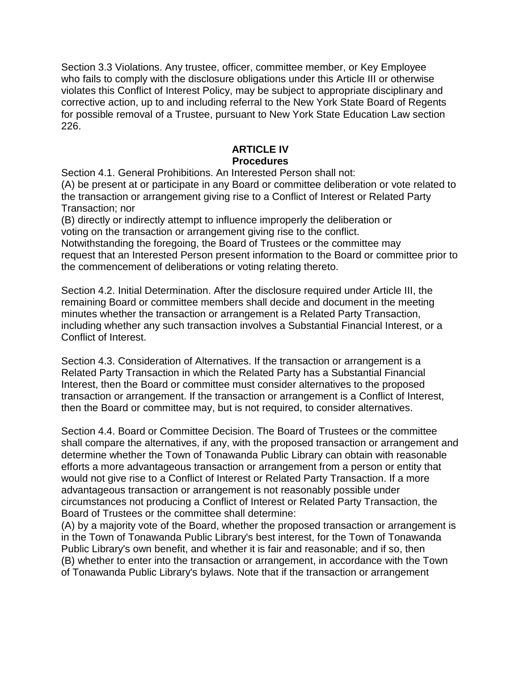Section 3.3 Violations. Any trustee, officer, committee member, or Key Employee who fails to comply with the disclosure obligations under this Article III or otherwise violates this Conflict of Interest Policy, may be subject to appropriate disciplinary and corrective action, up to and including referral to the New York State Board of Regents for possible removal of a Trustee, pursuant to New York State Education Law section 226.

## **ARTICLE IV Procedures**

Section 4.1. General Prohibitions. An Interested Person shall not:

(A) be present at or participate in any Board or committee deliberation or vote related to the transaction or arrangement giving rise to a Conflict of Interest or Related Party Transaction; nor

(B) directly or indirectly attempt to influence improperly the deliberation or voting on the transaction or arrangement giving rise to the conflict.

Notwithstanding the foregoing, the Board of Trustees or the committee may request that an Interested Person present information to the Board or committee prior to the commencement of deliberations or voting relating thereto.

Section 4.2. Initial Determination. After the disclosure required under Article III, the remaining Board or committee members shall decide and document in the meeting minutes whether the transaction or arrangement is a Related Party Transaction, including whether any such transaction involves a Substantial Financial Interest, or a Conflict of Interest.

Section 4.3. Consideration of Alternatives. If the transaction or arrangement is a Related Party Transaction in which the Related Party has a Substantial Financial Interest, then the Board or committee must consider alternatives to the proposed transaction or arrangement. If the transaction or arrangement is a Conflict of Interest, then the Board or committee may, but is not required, to consider alternatives.

Section 4.4. Board or Committee Decision. The Board of Trustees or the committee shall compare the alternatives, if any, with the proposed transaction or arrangement and determine whether the Town of Tonawanda Public Library can obtain with reasonable efforts a more advantageous transaction or arrangement from a person or entity that would not give rise to a Conflict of Interest or Related Party Transaction. If a more advantageous transaction or arrangement is not reasonably possible under circumstances not producing a Conflict of Interest or Related Party Transaction, the Board of Trustees or the committee shall determine:

(A) by a majority vote of the Board, whether the proposed transaction or arrangement is in the Town of Tonawanda Public Library's best interest, for the Town of Tonawanda Public Library's own benefit, and whether it is fair and reasonable; and if so, then (B) whether to enter into the transaction or arrangement, in accordance with the Town of Tonawanda Public Library's bylaws. Note that if the transaction or arrangement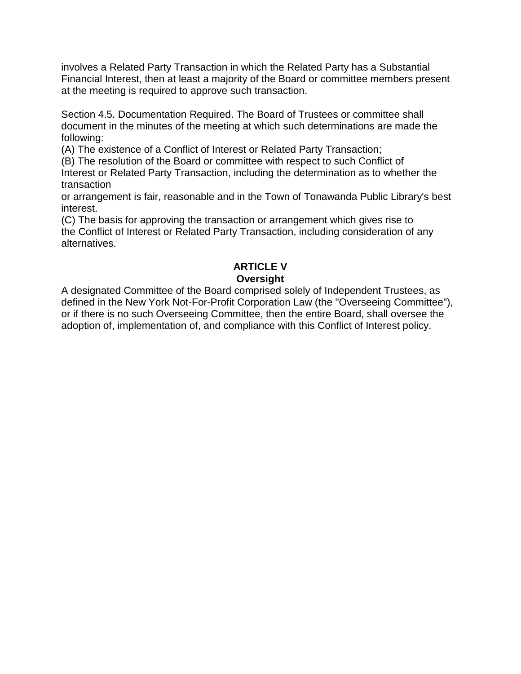involves a Related Party Transaction in which the Related Party has a Substantial Financial Interest, then at least a majority of the Board or committee members present at the meeting is required to approve such transaction.

Section 4.5. Documentation Required. The Board of Trustees or committee shall document in the minutes of the meeting at which such determinations are made the following:

(A) The existence of a Conflict of Interest or Related Party Transaction;

(B) The resolution of the Board or committee with respect to such Conflict of Interest or Related Party Transaction, including the determination as to whether the transaction

or arrangement is fair, reasonable and in the Town of Tonawanda Public Library's best interest.

(C) The basis for approving the transaction or arrangement which gives rise to the Conflict of Interest or Related Party Transaction, including consideration of any alternatives.

# **ARTICLE V Oversight**

A designated Committee of the Board comprised solely of Independent Trustees, as defined in the New York Not-For-Profit Corporation Law (the "Overseeing Committee"), or if there is no such Overseeing Committee, then the entire Board, shall oversee the adoption of, implementation of, and compliance with this Conflict of Interest policy.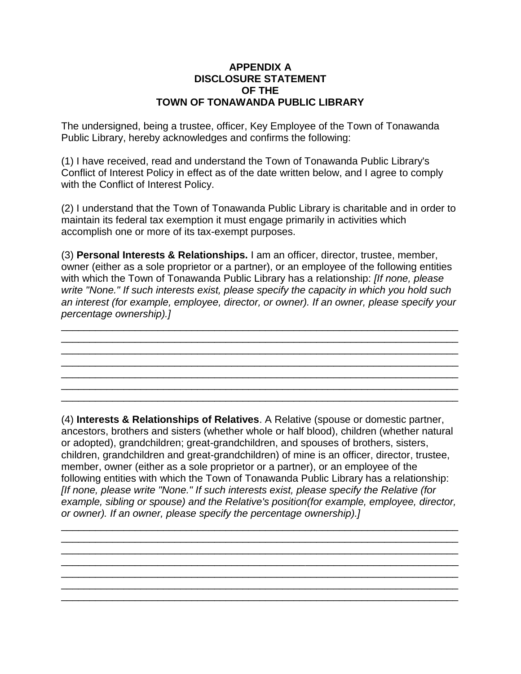#### **APPENDIX A DISCLOSURE STATEMENT OF THE TOWN OF TONAWANDA PUBLIC LIBRARY**

The undersigned, being a trustee, officer, Key Employee of the Town of Tonawanda Public Library, hereby acknowledges and confirms the following:

(1) I have received, read and understand the Town of Tonawanda Public Library's Conflict of Interest Policy in effect as of the date written below, and I agree to comply with the Conflict of Interest Policy.

(2) I understand that the Town of Tonawanda Public Library is charitable and in order to maintain its federal tax exemption it must engage primarily in activities which accomplish one or more of its tax-exempt purposes.

(3) **Personal Interests & Relationships.** I am an officer, director, trustee, member, owner (either as a sole proprietor or a partner), or an employee of the following entities with which the Town of Tonawanda Public Library has a relationship: *[If none, please write "None." If such interests exist, please specify the capacity in which you hold such an interest (for example, employee, director, or owner). If an owner, please specify your percentage ownership).]*

\_\_\_\_\_\_\_\_\_\_\_\_\_\_\_\_\_\_\_\_\_\_\_\_\_\_\_\_\_\_\_\_\_\_\_\_\_\_\_\_\_\_\_\_\_\_\_\_\_\_\_\_\_\_\_\_\_\_\_\_\_\_\_\_\_\_\_\_\_\_ \_\_\_\_\_\_\_\_\_\_\_\_\_\_\_\_\_\_\_\_\_\_\_\_\_\_\_\_\_\_\_\_\_\_\_\_\_\_\_\_\_\_\_\_\_\_\_\_\_\_\_\_\_\_\_\_\_\_\_\_\_\_\_\_\_\_\_\_\_\_ \_\_\_\_\_\_\_\_\_\_\_\_\_\_\_\_\_\_\_\_\_\_\_\_\_\_\_\_\_\_\_\_\_\_\_\_\_\_\_\_\_\_\_\_\_\_\_\_\_\_\_\_\_\_\_\_\_\_\_\_\_\_\_\_\_\_\_\_\_\_

\_\_\_\_\_\_\_\_\_\_\_\_\_\_\_\_\_\_\_\_\_\_\_\_\_\_\_\_\_\_\_\_\_\_\_\_\_\_\_\_\_\_\_\_\_\_\_\_\_\_\_\_\_\_\_\_\_\_\_\_\_\_\_\_\_\_\_\_\_\_ \_\_\_\_\_\_\_\_\_\_\_\_\_\_\_\_\_\_\_\_\_\_\_\_\_\_\_\_\_\_\_\_\_\_\_\_\_\_\_\_\_\_\_\_\_\_\_\_\_\_\_\_\_\_\_\_\_\_\_\_\_\_\_\_\_\_\_\_\_\_

(4) **Interests & Relationships of Relatives**. A Relative (spouse or domestic partner, ancestors, brothers and sisters (whether whole or half blood), children (whether natural or adopted), grandchildren; great-grandchildren, and spouses of brothers, sisters, children, grandchildren and great-grandchildren) of mine is an officer, director, trustee, member, owner (either as a sole proprietor or a partner), or an employee of the following entities with which the Town of Tonawanda Public Library has a relationship: *[If none, please write "None." If such interests exist, please specify the Relative (for example, sibling or spouse) and the Relative's position(for example, employee, director, or owner). If an owner, please specify the percentage ownership).]*

\_\_\_\_\_\_\_\_\_\_\_\_\_\_\_\_\_\_\_\_\_\_\_\_\_\_\_\_\_\_\_\_\_\_\_\_\_\_\_\_\_\_\_\_\_\_\_\_\_\_\_\_\_\_\_\_\_\_\_\_\_\_\_\_\_\_\_\_\_\_ \_\_\_\_\_\_\_\_\_\_\_\_\_\_\_\_\_\_\_\_\_\_\_\_\_\_\_\_\_\_\_\_\_\_\_\_\_\_\_\_\_\_\_\_\_\_\_\_\_\_\_\_\_\_\_\_\_\_\_\_\_\_\_\_\_\_\_\_\_\_ \_\_\_\_\_\_\_\_\_\_\_\_\_\_\_\_\_\_\_\_\_\_\_\_\_\_\_\_\_\_\_\_\_\_\_\_\_\_\_\_\_\_\_\_\_\_\_\_\_\_\_\_\_\_\_\_\_\_\_\_\_\_\_\_\_\_\_\_\_\_

\_\_\_\_\_\_\_\_\_\_\_\_\_\_\_\_\_\_\_\_\_\_\_\_\_\_\_\_\_\_\_\_\_\_\_\_\_\_\_\_\_\_\_\_\_\_\_\_\_\_\_\_\_\_\_\_\_\_\_\_\_\_\_\_\_\_\_\_\_\_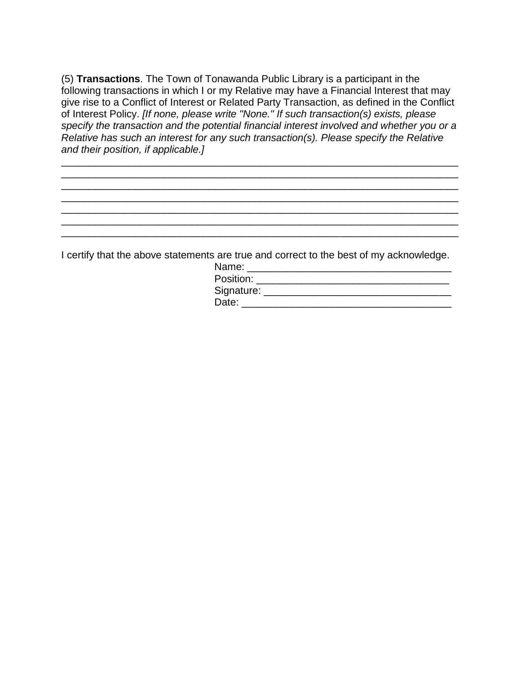(5) **Transactions**. The Town of Tonawanda Public Library is a participant in the following transactions in which I or my Relative may have a Financial Interest that may give rise to a Conflict of Interest or Related Party Transaction, as defined in the Conflict of Interest Policy. *[If none, please write "None." If such transaction(s) exists, please specify the transaction and the potential financial interest involved and whether you or a Relative has such an interest for any such transaction(s). Please specify the Relative and their position, if applicable.]*

\_\_\_\_\_\_\_\_\_\_\_\_\_\_\_\_\_\_\_\_\_\_\_\_\_\_\_\_\_\_\_\_\_\_\_\_\_\_\_\_\_\_\_\_\_\_\_\_\_\_\_\_\_\_\_\_\_\_\_\_\_\_\_\_\_\_\_\_\_\_ \_\_\_\_\_\_\_\_\_\_\_\_\_\_\_\_\_\_\_\_\_\_\_\_\_\_\_\_\_\_\_\_\_\_\_\_\_\_\_\_\_\_\_\_\_\_\_\_\_\_\_\_\_\_\_\_\_\_\_\_\_\_\_\_\_\_\_\_\_\_ \_\_\_\_\_\_\_\_\_\_\_\_\_\_\_\_\_\_\_\_\_\_\_\_\_\_\_\_\_\_\_\_\_\_\_\_\_\_\_\_\_\_\_\_\_\_\_\_\_\_\_\_\_\_\_\_\_\_\_\_\_\_\_\_\_\_\_\_\_\_ \_\_\_\_\_\_\_\_\_\_\_\_\_\_\_\_\_\_\_\_\_\_\_\_\_\_\_\_\_\_\_\_\_\_\_\_\_\_\_\_\_\_\_\_\_\_\_\_\_\_\_\_\_\_\_\_\_\_\_\_\_\_\_\_\_\_\_\_\_\_ \_\_\_\_\_\_\_\_\_\_\_\_\_\_\_\_\_\_\_\_\_\_\_\_\_\_\_\_\_\_\_\_\_\_\_\_\_\_\_\_\_\_\_\_\_\_\_\_\_\_\_\_\_\_\_\_\_\_\_\_\_\_\_\_\_\_\_\_\_\_ \_\_\_\_\_\_\_\_\_\_\_\_\_\_\_\_\_\_\_\_\_\_\_\_\_\_\_\_\_\_\_\_\_\_\_\_\_\_\_\_\_\_\_\_\_\_\_\_\_\_\_\_\_\_\_\_\_\_\_\_\_\_\_\_\_\_\_\_\_\_ \_\_\_\_\_\_\_\_\_\_\_\_\_\_\_\_\_\_\_\_\_\_\_\_\_\_\_\_\_\_\_\_\_\_\_\_\_\_\_\_\_\_\_\_\_\_\_\_\_\_\_\_\_\_\_\_\_\_\_\_\_\_\_\_\_\_\_\_\_\_

I certify that the above statements are true and correct to the best of my acknowledge.

| Name:      |  |  |
|------------|--|--|
| Position:  |  |  |
| Signature: |  |  |
| Date:      |  |  |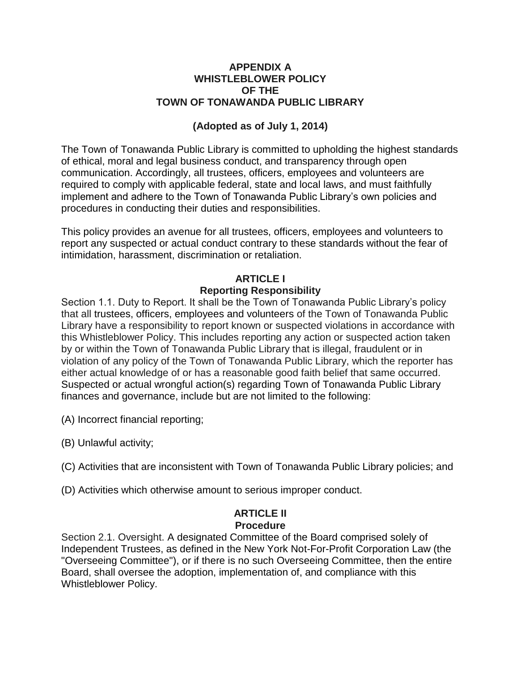#### **APPENDIX A WHISTLEBLOWER POLICY OF THE TOWN OF TONAWANDA PUBLIC LIBRARY**

## **(Adopted as of July 1, 2014)**

The Town of Tonawanda Public Library is committed to upholding the highest standards of ethical, moral and legal business conduct, and transparency through open communication. Accordingly, all trustees, officers, employees and volunteers are required to comply with applicable federal, state and local laws, and must faithfully implement and adhere to the Town of Tonawanda Public Library's own policies and procedures in conducting their duties and responsibilities.

This policy provides an avenue for all trustees, officers, employees and volunteers to report any suspected or actual conduct contrary to these standards without the fear of intimidation, harassment, discrimination or retaliation.

## **ARTICLE I**

#### **Reporting Responsibility**

Section 1.1. Duty to Report. It shall be the Town of Tonawanda Public Library's policy that all trustees, officers, employees and volunteers of the Town of Tonawanda Public Library have a responsibility to report known or suspected violations in accordance with this Whistleblower Policy. This includes reporting any action or suspected action taken by or within the Town of Tonawanda Public Library that is illegal, fraudulent or in violation of any policy of the Town of Tonawanda Public Library, which the reporter has either actual knowledge of or has a reasonable good faith belief that same occurred. Suspected or actual wrongful action(s) regarding Town of Tonawanda Public Library finances and governance, include but are not limited to the following:

(A) Incorrect financial reporting;

(B) Unlawful activity;

(C) Activities that are inconsistent with Town of Tonawanda Public Library policies; and

(D) Activities which otherwise amount to serious improper conduct.

#### **ARTICLE II Procedure**

Section 2.1. Oversight. A designated Committee of the Board comprised solely of Independent Trustees, as defined in the New York Not-For-Profit Corporation Law (the "Overseeing Committee"), or if there is no such Overseeing Committee, then the entire Board, shall oversee the adoption, implementation of, and compliance with this Whistleblower Policy.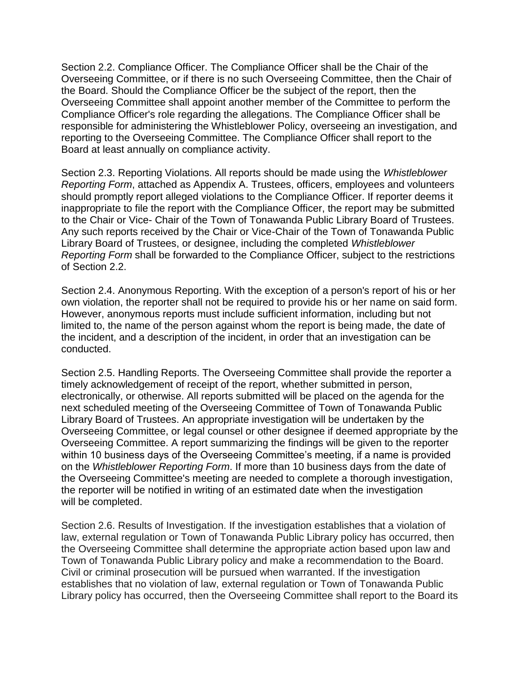Section 2.2. Compliance Officer. The Compliance Officer shall be the Chair of the Overseeing Committee, or if there is no such Overseeing Committee, then the Chair of the Board. Should the Compliance Officer be the subject of the report, then the Overseeing Committee shall appoint another member of the Committee to perform the Compliance Officer's role regarding the allegations. The Compliance Officer shall be responsible for administering the Whistleblower Policy, overseeing an investigation, and reporting to the Overseeing Committee. The Compliance Officer shall report to the Board at least annually on compliance activity.

Section 2.3. Reporting Violations. All reports should be made using the *Whistleblower Reporting Form*, attached as Appendix A. Trustees, officers, employees and volunteers should promptly report alleged violations to the Compliance Officer. If reporter deems it inappropriate to file the report with the Compliance Officer, the report may be submitted to the Chair or Vice- Chair of the Town of Tonawanda Public Library Board of Trustees. Any such reports received by the Chair or Vice-Chair of the Town of Tonawanda Public Library Board of Trustees, or designee, including the completed *Whistleblower Reporting Form* shall be forwarded to the Compliance Officer, subject to the restrictions of Section 2.2.

Section 2.4. Anonymous Reporting. With the exception of a person's report of his or her own violation, the reporter shall not be required to provide his or her name on said form. However, anonymous reports must include sufficient information, including but not limited to, the name of the person against whom the report is being made, the date of the incident, and a description of the incident, in order that an investigation can be conducted.

Section 2.5. Handling Reports. The Overseeing Committee shall provide the reporter a timely acknowledgement of receipt of the report, whether submitted in person, electronically, or otherwise. All reports submitted will be placed on the agenda for the next scheduled meeting of the Overseeing Committee of Town of Tonawanda Public Library Board of Trustees. An appropriate investigation will be undertaken by the Overseeing Committee, or legal counsel or other designee if deemed appropriate by the Overseeing Committee. A report summarizing the findings will be given to the reporter within 10 business days of the Overseeing Committee's meeting, if a name is provided on the *Whistleblower Reporting Form*. If more than 10 business days from the date of the Overseeing Committee's meeting are needed to complete a thorough investigation, the reporter will be notified in writing of an estimated date when the investigation will be completed.

Section 2.6. Results of Investigation. If the investigation establishes that a violation of law, external regulation or Town of Tonawanda Public Library policy has occurred, then the Overseeing Committee shall determine the appropriate action based upon law and Town of Tonawanda Public Library policy and make a recommendation to the Board. Civil or criminal prosecution will be pursued when warranted. If the investigation establishes that no violation of law, external regulation or Town of Tonawanda Public Library policy has occurred, then the Overseeing Committee shall report to the Board its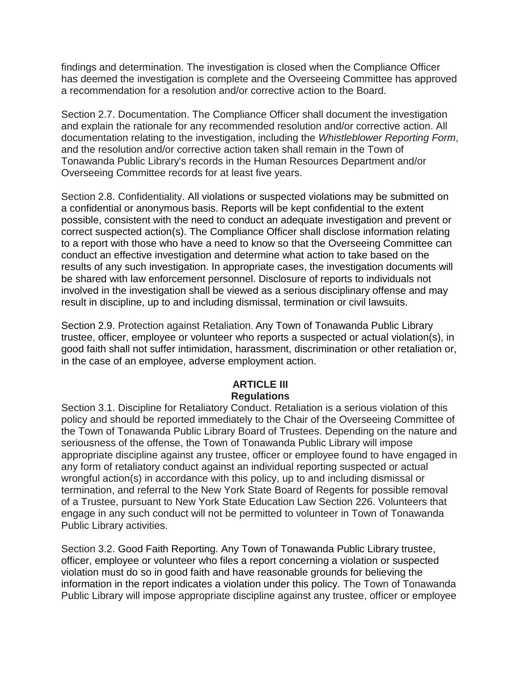findings and determination. The investigation is closed when the Compliance Officer has deemed the investigation is complete and the Overseeing Committee has approved a recommendation for a resolution and/or corrective action to the Board.

Section 2.7. Documentation. The Compliance Officer shall document the investigation and explain the rationale for any recommended resolution and/or corrective action. All documentation relating to the investigation, including the *Whistleblower Reporting Form*, and the resolution and/or corrective action taken shall remain in the Town of Tonawanda Public Library's records in the Human Resources Department and/or Overseeing Committee records for at least five years.

Section 2.8. Confidentiality. All violations or suspected violations may be submitted on a confidential or anonymous basis. Reports will be kept confidential to the extent possible, consistent with the need to conduct an adequate investigation and prevent or correct suspected action(s). The Compliance Officer shall disclose information relating to a report with those who have a need to know so that the Overseeing Committee can conduct an effective investigation and determine what action to take based on the results of any such investigation. In appropriate cases, the investigation documents will be shared with law enforcement personnel. Disclosure of reports to individuals not involved in the investigation shall be viewed as a serious disciplinary offense and may result in discipline, up to and including dismissal, termination or civil lawsuits.

Section 2.9. Protection against Retaliation. Any Town of Tonawanda Public Library trustee, officer, employee or volunteer who reports a suspected or actual violation(s), in good faith shall not suffer intimidation, harassment, discrimination or other retaliation or, in the case of an employee, adverse employment action.

## **ARTICLE III Regulations**

Section 3.1. Discipline for Retaliatory Conduct. Retaliation is a serious violation of this policy and should be reported immediately to the Chair of the Overseeing Committee of the Town of Tonawanda Public Library Board of Trustees. Depending on the nature and seriousness of the offense, the Town of Tonawanda Public Library will impose appropriate discipline against any trustee, officer or employee found to have engaged in any form of retaliatory conduct against an individual reporting suspected or actual wrongful action(s) in accordance with this policy, up to and including dismissal or termination, and referral to the New York State Board of Regents for possible removal of a Trustee, pursuant to New York State Education Law Section 226. Volunteers that engage in any such conduct will not be permitted to volunteer in Town of Tonawanda Public Library activities.

Section 3.2. Good Faith Reporting. Any Town of Tonawanda Public Library trustee, officer, employee or volunteer who files a report concerning a violation or suspected violation must do so in good faith and have reasonable grounds for believing the information in the report indicates a violation under this policy. The Town of Tonawanda Public Library will impose appropriate discipline against any trustee, officer or employee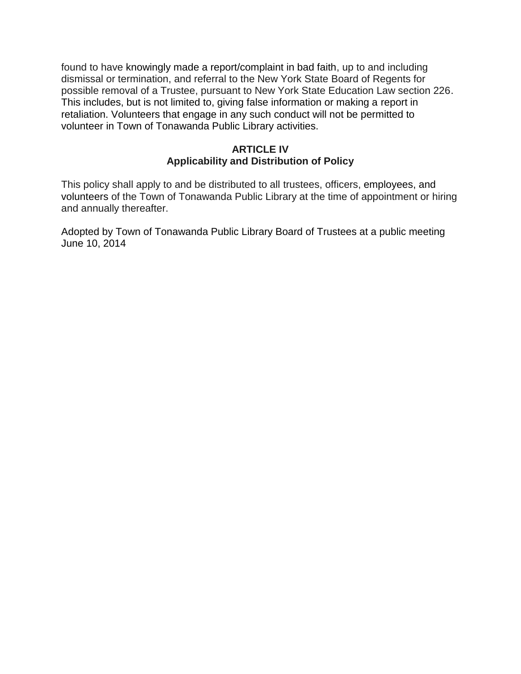found to have knowingly made a report/complaint in bad faith, up to and including dismissal or termination, and referral to the New York State Board of Regents for possible removal of a Trustee, pursuant to New York State Education Law section 226. This includes, but is not limited to, giving false information or making a report in retaliation. Volunteers that engage in any such conduct will not be permitted to volunteer in Town of Tonawanda Public Library activities.

### **ARTICLE IV Applicability and Distribution of Policy**

This policy shall apply to and be distributed to all trustees, officers, employees, and volunteers of the Town of Tonawanda Public Library at the time of appointment or hiring and annually thereafter.

Adopted by Town of Tonawanda Public Library Board of Trustees at a public meeting June 10, 2014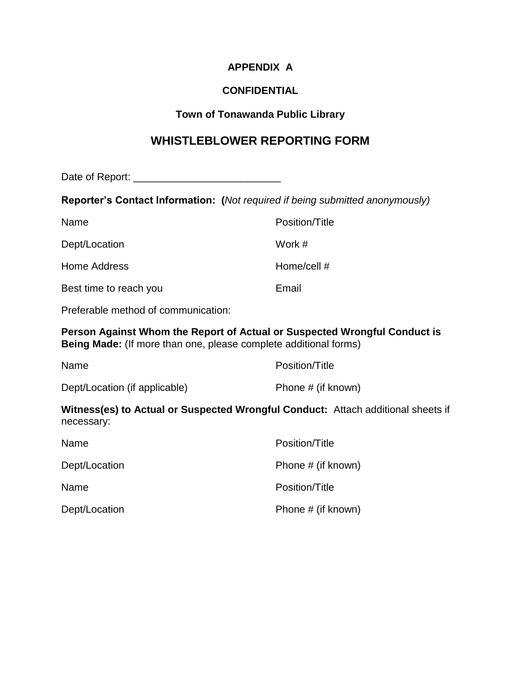## **APPENDIX A**

## **CONFIDENTIAL**

## **Town of Tonawanda Public Library**

# **WHISTLEBLOWER REPORTING FORM**

Date of Report: \_\_\_\_\_\_\_\_\_\_\_\_\_\_\_\_\_\_\_\_\_\_\_\_\_\_

**Reporter's Contact Information: (***Not required if being submitted anonymously)*

| Name                   | Position/Title |
|------------------------|----------------|
| Dept/Location          | Work #         |
| Home Address           | Home/cell #    |
| Best time to reach you | Email          |

Preferable method of communication:

**Person Against Whom the Report of Actual or Suspected Wrongful Conduct is Being Made:** (If more than one, please complete additional forms)

| Name                          | Position/Title     |
|-------------------------------|--------------------|
| Dept/Location (if applicable) | Phone # (if known) |

#### **Witness(es) to Actual or Suspected Wrongful Conduct:** Attach additional sheets if necessary:

| Name          | Position/Title     |
|---------------|--------------------|
| Dept/Location | Phone # (if known) |
| Name          | Position/Title     |
| Dept/Location | Phone # (if known) |